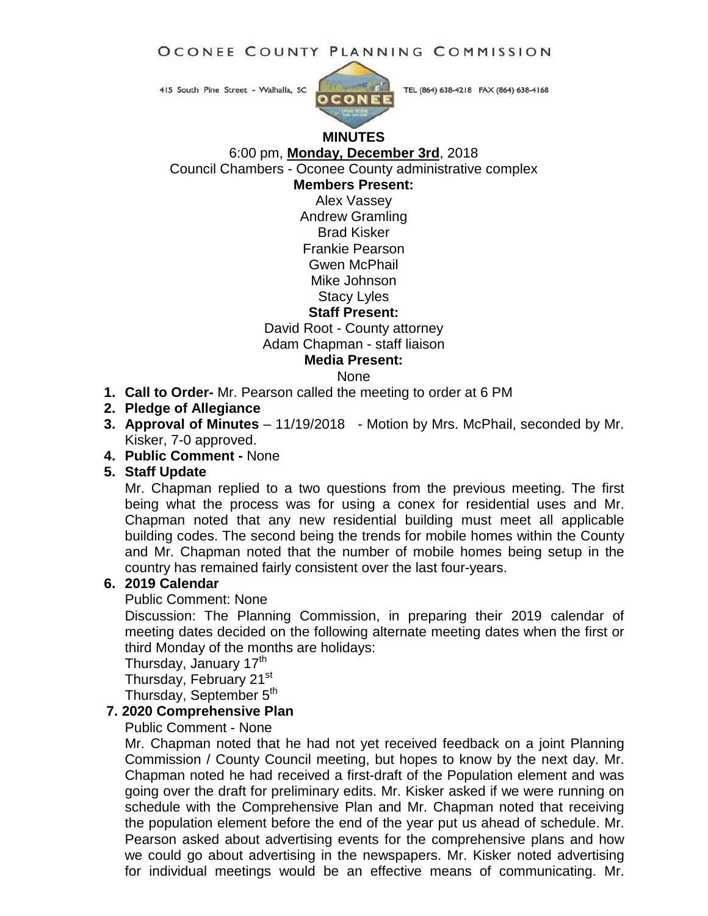OCONEE COUNTY PLANNING COMMISSION

415 South Pine Street - Walhalla, SC



TEL (864) 638-4218 FAX (864) 638-4168

# **MINUTES**

6:00 pm, **Monday, December 3rd**, 2018

Council Chambers - Oconee County administrative complex

**Members Present:**

Alex Vassey Andrew Gramling Brad Kisker Frankie Pearson Gwen McPhail Mike Johnson Stacy Lyles

**Staff Present:**

David Root - County attorney

Adam Chapman - staff liaison

**Media Present:**

None

- **1. Call to Order-** Mr. Pearson called the meeting to order at 6 PM
- **2. Pledge of Allegiance**
- **3. Approval of Minutes** 11/19/2018 Motion by Mrs. McPhail, seconded by Mr. Kisker, 7-0 approved.
- **4. Public Comment -** None

## **5. Staff Update**

Mr. Chapman replied to a two questions from the previous meeting. The first being what the process was for using a conex for residential uses and Mr. Chapman noted that any new residential building must meet all applicable building codes. The second being the trends for mobile homes within the County and Mr. Chapman noted that the number of mobile homes being setup in the country has remained fairly consistent over the last four-years.

## **6. 2019 Calendar**

#### Public Comment: None

Discussion: The Planning Commission, in preparing their 2019 calendar of meeting dates decided on the following alternate meeting dates when the first or third Monday of the months are holidays:

Thursday, January 17<sup>th</sup>

Thursday, February 21<sup>st</sup>

Thursday, September  $5<sup>th</sup>$ 

# **7. 2020 Comprehensive Plan**

## Public Comment - None

Mr. Chapman noted that he had not yet received feedback on a joint Planning Commission / County Council meeting, but hopes to know by the next day. Mr. Chapman noted he had received a first-draft of the Population element and was going over the draft for preliminary edits. Mr. Kisker asked if we were running on schedule with the Comprehensive Plan and Mr. Chapman noted that receiving the population element before the end of the year put us ahead of schedule. Mr. Pearson asked about advertising events for the comprehensive plans and how we could go about advertising in the newspapers. Mr. Kisker noted advertising for individual meetings would be an effective means of communicating. Mr.